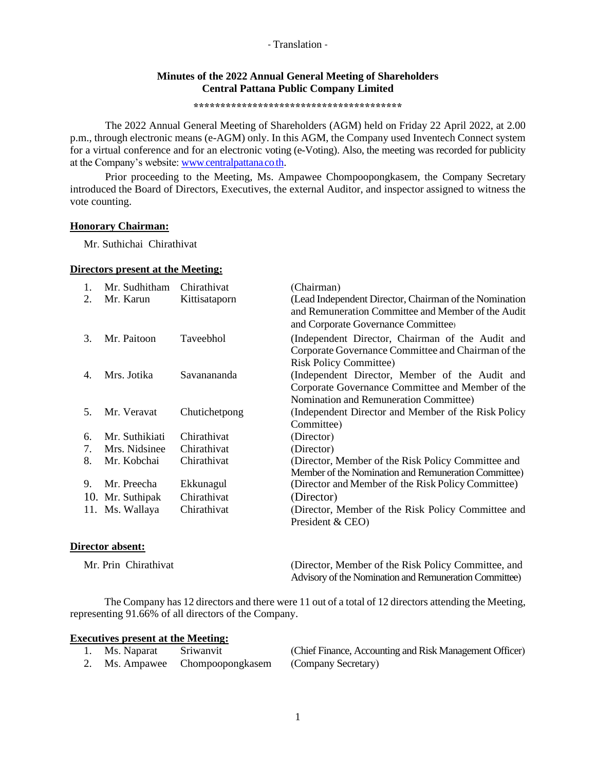## **Minutes of the 2022 Annual General Meeting of Shareholders Central Pattana Public Company Limited**

**\*\*\*\*\*\*\*\*\*\*\*\*\*\*\*\*\*\*\*\*\*\*\*\*\*\*\*\*\*\*\*\*\*\*\*\*\*\*\***

The 2022 Annual General Meeting of Shareholders (AGM) held on Friday 22 April 2022, at 2.00 p.m., through electronic means (e-AGM) only. In this AGM, the Company used Inventech Connect system for a virtual conference and for an electronic voting (e-Voting). Also, the meeting was recorded for publicity at the Company's website: www.[centralpattana](http://www.centralpattana.co.th/).co.th.

Prior proceeding to the Meeting, Ms. Ampawee Chompoopongkasem, the Company Secretary introduced the Board of Directors, Executives, the external Auditor, and inspector assigned to witness the vote counting.

### **Honorary Chairman:**

Mr. Suthichai Chirathivat

#### **Directors present at the Meeting:**

| 1. | Mr. Sudhitham    | Chirathivat      | (Chairman)                                                                                                                                          |
|----|------------------|------------------|-----------------------------------------------------------------------------------------------------------------------------------------------------|
| 2. | Mr. Karun        | Kittisataporn    | (Lead Independent Director, Chairman of the Nomination<br>and Remuneration Committee and Member of the Audit<br>and Corporate Governance Committee) |
| 3. | Mr. Paitoon      | <b>Taveebhol</b> | (Independent Director, Chairman of the Audit and<br>Corporate Governance Committee and Chairman of the<br><b>Risk Policy Committee)</b>             |
| 4. | Mrs. Jotika      | Savanananda      | (Independent Director, Member of the Audit and<br>Corporate Governance Committee and Member of the<br>Nomination and Remuneration Committee)        |
| 5. | Mr. Veravat      | Chutichetpong    | (Independent Director and Member of the Risk Policy<br>Committee)                                                                                   |
| 6. | Mr. Suthikiati   | Chirathivat      | (Director)                                                                                                                                          |
| 7. | Mrs. Nidsinee    | Chirathivat      | (Director)                                                                                                                                          |
| 8. | Mr. Kobchai      | Chirathivat      | (Director, Member of the Risk Policy Committee and<br>Member of the Nomination and Remuneration Committee)                                          |
| 9. | Mr. Preecha      | Ekkunagul        | (Director and Member of the Risk Policy Committee)                                                                                                  |
|    | 10. Mr. Suthipak | Chirathivat      | (Director)                                                                                                                                          |
|    | 11. Ms. Wallaya  | Chirathivat      | (Director, Member of the Risk Policy Committee and<br>President & CEO)                                                                              |

### **Director absent:**

| Mr. Prin Chirathivat | (Director, Member of the Risk Policy Committee, and    |
|----------------------|--------------------------------------------------------|
|                      | Advisory of the Nomination and Remuneration Committee) |

The Company has 12 directors and there were 11 out of a total of 12 directors attending the Meeting, representing 91.66% of all directors of the Company.

#### **Executives present at the Meeting:**

| Ms. Naparat Sriwanvit |                                                     | (Chief Finance, Accounting and Risk Management Officer) |
|-----------------------|-----------------------------------------------------|---------------------------------------------------------|
|                       | 2. Ms. Ampawee Chompoopongkasem (Company Secretary) |                                                         |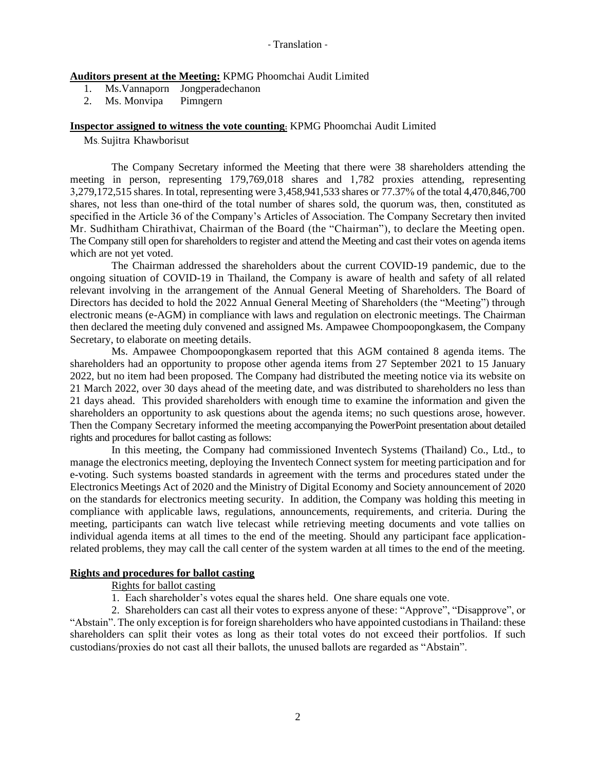**Auditors present at the Meeting:** KPMG Phoomchai Audit Limited

- 1. Ms.Vannaporn Jongperadechanon
- 2. Ms. Monvipa Pimngern

### **Inspector assigned to witness the vote counting:** KPMG Phoomchai Audit Limited

Ms. Sujitra Khawborisut

The Company Secretary informed the Meeting that there were 38 shareholders attending the meeting in person, representing 179,769,018 shares and 1,782 proxies attending, representing 3,279,172,515 shares. In total, representing were 3,458,941,533 shares or 77.37% of the total 4,470,846,700 shares, not less than one-third of the total number of shares sold, the quorum was, then, constituted as specified in the Article 36 of the Company's Articles of Association. The Company Secretary then invited Mr. Sudhitham Chirathivat, Chairman of the Board (the "Chairman"), to declare the Meeting open. The Company still open for shareholders to register and attend the Meeting and cast their votes on agenda items which are not yet voted.

The Chairman addressed the shareholders about the current COVID-19 pandemic, due to the ongoing situation of COVID-19 in Thailand, the Company is aware of health and safety of all related relevant involving in the arrangement of the Annual General Meeting of Shareholders. The Board of Directors has decided to hold the 2022 Annual General Meeting of Shareholders (the "Meeting") through electronic means (e-AGM) in compliance with laws and regulation on electronic meetings. The Chairman then declared the meeting duly convened and assigned Ms. Ampawee Chompoopongkasem, the Company Secretary, to elaborate on meeting details.

Ms. Ampawee Chompoopongkasem reported that this AGM contained 8 agenda items. The shareholders had an opportunity to propose other agenda items from 27 September 2021 to 15 January 2022, but no item had been proposed. The Company had distributed the meeting notice via its website on 21 March 2022, over 30 days ahead of the meeting date, and was distributed to shareholders no less than 21 days ahead. This provided shareholders with enough time to examine the information and given the shareholders an opportunity to ask questions about the agenda items; no such questions arose, however. Then the Company Secretary informed the meeting accompanying the PowerPoint presentation about detailed rights and procedures for ballot casting as follows:

In this meeting, the Company had commissioned Inventech Systems (Thailand) Co., Ltd., to manage the electronics meeting, deploying the Inventech Connect system for meeting participation and for e-voting. Such systems boasted standards in agreement with the terms and procedures stated under the Electronics Meetings Act of 2020 and the Ministry of Digital Economy and Society announcement of 2020 on the standards for electronics meeting security. In addition, the Company was holding this meeting in compliance with applicable laws, regulations, announcements, requirements, and criteria. During the meeting, participants can watch live telecast while retrieving meeting documents and vote tallies on individual agenda items at all times to the end of the meeting. Should any participant face applicationrelated problems, they may call the call center of the system warden at all times to the end of the meeting.

### **Rights and procedures for ballot casting**

# Rights for ballot casting

1. Each shareholder's votes equal the shares held. One share equals one vote.

2. Shareholders can cast all their votes to express anyone of these: "Approve", "Disapprove", or "Abstain". The only exception is for foreign shareholders who have appointed custodians in Thailand: these shareholders can split their votes as long as their total votes do not exceed their portfolios. If such custodians/proxies do not cast all their ballots, the unused ballots are regarded as "Abstain".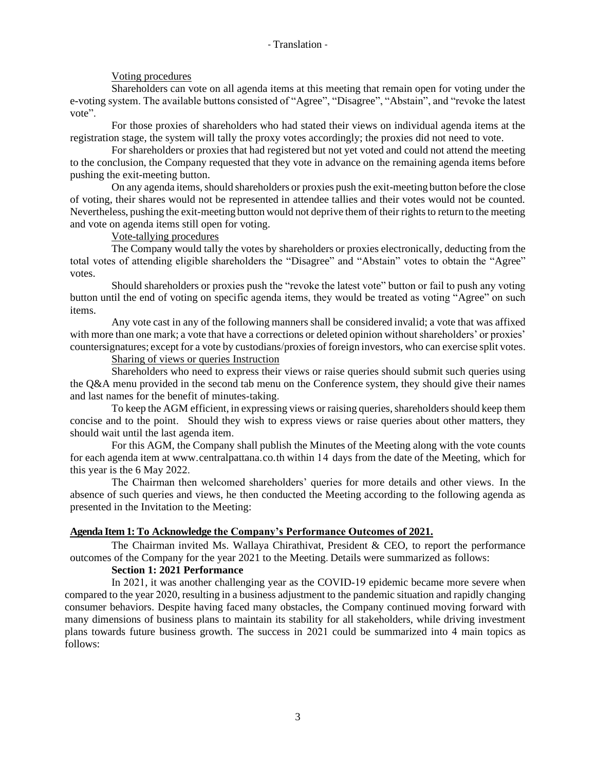## Voting procedures

Shareholders can vote on all agenda items at this meeting that remain open for voting under the e-voting system. The available buttons consisted of "Agree", "Disagree", "Abstain", and "revoke the latest vote".

For those proxies of shareholders who had stated their views on individual agenda items at the registration stage, the system will tally the proxy votes accordingly; the proxies did not need to vote.

For shareholders or proxies that had registered but not yet voted and could not attend the meeting to the conclusion, the Company requested that they vote in advance on the remaining agenda items before pushing the exit-meeting button.

On any agenda items, should shareholders or proxies push the exit-meeting button before the close of voting, their shares would not be represented in attendee tallies and their votes would not be counted. Nevertheless, pushing the exit-meeting button would not deprive them of their rights to return to the meeting and vote on agenda items still open for voting.

# Vote-tallying procedures

The Company would tally the votes by shareholders or proxies electronically, deducting from the total votes of attending eligible shareholders the "Disagree" and "Abstain" votes to obtain the "Agree" votes.

Should shareholders or proxies push the "revoke the latest vote" button or fail to push any voting button until the end of voting on specific agenda items, they would be treated as voting "Agree" on such items.

Any vote cast in any of the following manners shall be considered invalid; a vote that was affixed with more than one mark; a vote that have a corrections or deleted opinion without shareholders' or proxies' countersignatures; except for a vote by custodians/proxies of foreign investors, who can exercise split votes.

## Sharing of views or queries Instruction

Shareholders who need to express their views or raise queries should submit such queries using the Q&A menu provided in the second tab menu on the Conference system, they should give their names and last names for the benefit of minutes-taking.

To keep the AGM efficient, in expressing views or raising queries, shareholders should keep them concise and to the point. Should they wish to express views or raise queries about other matters, they should wait until the last agenda item.

For this AGM, the Company shall publish the Minutes of the Meeting along with the vote counts for each agenda item at [www.centralpattana.co.th](http://www.centralpattana.co.th/) within 14 days from the date of the Meeting, which for this year is the 6 May 2022.

The Chairman then welcomed shareholders' queries for more details and other views. In the absence of such queries and views, he then conducted the Meeting according to the following agenda as presented in the Invitation to the Meeting:

## **Agenda Item 1: To Acknowledge the Company's Performance Outcomes of 2021.**

The Chairman invited Ms. Wallaya Chirathivat, President & CEO, to report the performance outcomes of the Company for the year 2021 to the Meeting. Details were summarized as follows:

## **Section 1: 2021 Performance**

In 2021, it was another challenging year as the COVID-19 epidemic became more severe when compared to the year 2020, resulting in a business adjustment to the pandemic situation and rapidly changing consumer behaviors. Despite having faced many obstacles, the Company continued moving forward with many dimensions of business plans to maintain its stability for all stakeholders, while driving investment plans towards future business growth. The success in 2021 could be summarized into 4 main topics as follows: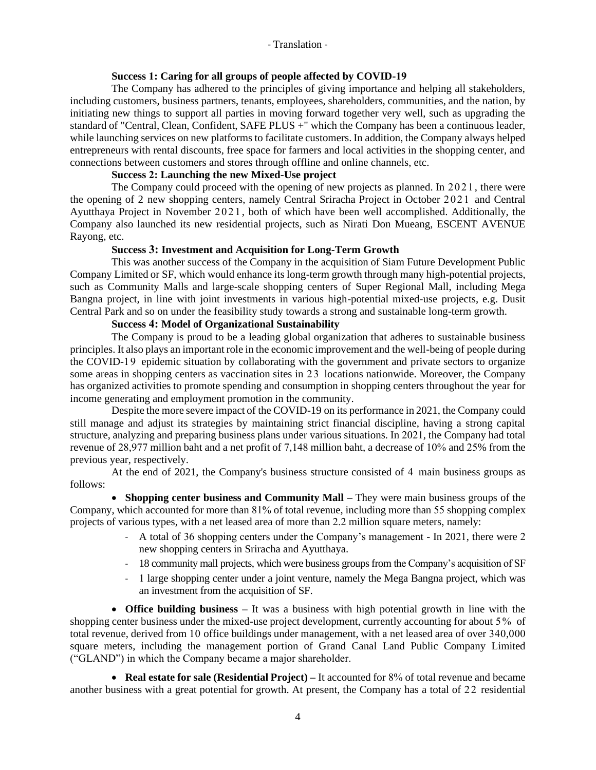### **Success 1: Caring for all groups of people affected by COVID-19**

The Company has adhered to the principles of giving importance and helping all stakeholders, including customers, business partners, tenants, employees, shareholders, communities, and the nation, by initiating new things to support all parties in moving forward together very well, such as upgrading the standard of "Central, Clean, Confident, SAFE PLUS +" which the Company has been a continuous leader, while launching services on new platforms to facilitate customers. In addition, the Company always helped entrepreneurs with rental discounts, free space for farmers and local activities in the shopping center, and connections between customers and stores through offline and online channels, etc.

## **Success 2: Launching the new Mixed-Use project**

The Company could proceed with the opening of new projects as planned. In 2021, there were the opening of 2 new shopping centers, namely Central Sriracha Project in October 2021 and Central Ayutthaya Project in November 2 021 , both of which have been well accomplished. Additionally, the Company also launched its new residential projects, such as Nirati Don Mueang, ESCENT AVENUE Rayong, etc.

### **Success 3: Investment and Acquisition for Long-Term Growth**

This was another success of the Company in the acquisition of Siam Future Development Public Company Limited or SF, which would enhance its long-term growth through many high-potential projects, such as Community Malls and large-scale shopping centers of Super Regional Mall, including Mega Bangna project, in line with joint investments in various high-potential mixed-use projects, e.g. Dusit Central Park and so on under the feasibility study towards a strong and sustainable long-term growth.

## **Success 4: Model of Organizational Sustainability**

The Company is proud to be a leading global organization that adheres to sustainable business principles. It also plays an important role in the economic improvement and the well-being of people during the COVID-19 epidemic situation by collaborating with the government and private sectors to organize some areas in shopping centers as vaccination sites in 23 locations nationwide. Moreover, the Company has organized activities to promote spending and consumption in shopping centers throughout the year for income generating and employment promotion in the community.

Despite the more severe impact of the COVID-19 on its performance in 2021, the Company could still manage and adjust its strategies by maintaining strict financial discipline, having a strong capital structure, analyzing and preparing business plans under various situations. In 2021, the Company had total revenue of 28,977 million baht and a net profit of 7,148 million baht, a decrease of 10% and 25% from the previous year, respectively.

At the end of 2021, the Company's business structure consisted of 4 main business groups as follows:

• **Shopping center business and Community Mall –** They were main business groups of the Company, which accounted for more than 81% of total revenue, including more than 55 shopping complex projects of various types, with a net leased area of more than 2.2 million square meters, namely:

- A total of 36 shopping centers under the Company's management In 2021, there were 2 new shopping centers in Sriracha and Ayutthaya.
- 18 community mall projects, which were business groups from the Company's acquisition of SF
- 1 large shopping center under a joint venture, namely the Mega Bangna project, which was an investment from the acquisition of SF.

• **Office building business –** It was a business with high potential growth in line with the shopping center business under the mixed-use project development, currently accounting for about 5% of total revenue, derived from 10 office buildings under management, with a net leased area of over 340,000 square meters, including the management portion of Grand Canal Land Public Company Limited ("GLAND") in which the Company became a major shareholder.

• **Real estate for sale (Residential Project)** – It accounted for 8% of total revenue and became another business with a great potential for growth. At present, the Company has a total of 22 residential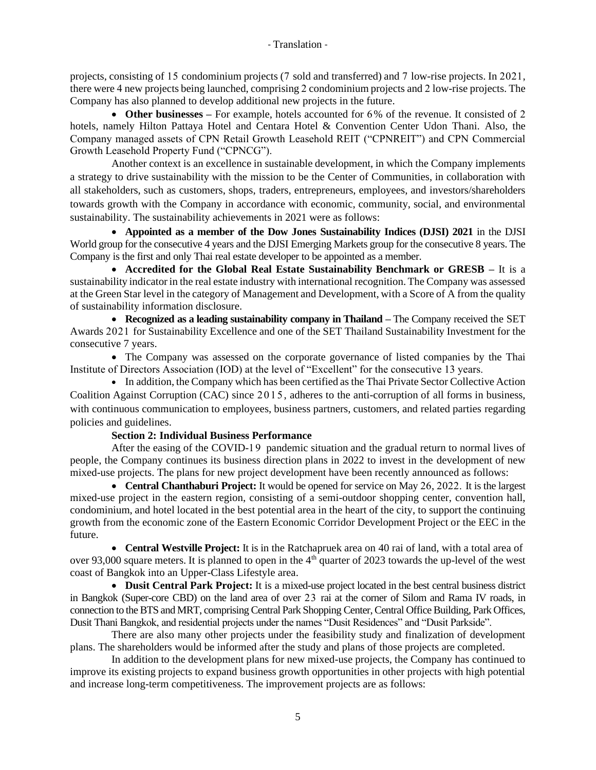projects, consisting of 15 condominium projects (7 sold and transferred) and 7 low-rise projects. In 2021, there were 4 new projects being launched, comprising 2 condominium projects and 2 low-rise projects. The Company has also planned to develop additional new projects in the future.

• **Other businesses** – For example, hotels accounted for 6% of the revenue. It consisted of 2 hotels, namely Hilton Pattaya Hotel and Centara Hotel & Convention Center Udon Thani. Also, the Company managed assets of CPN Retail Growth Leasehold REIT ("CPNREIT") and CPN Commercial Growth Leasehold Property Fund ("CPNCG").

Another context is an excellence in sustainable development, in which the Company implements a strategy to drive sustainability with the mission to be the Center of Communities, in collaboration with all stakeholders, such as customers, shops, traders, entrepreneurs, employees, and investors/shareholders towards growth with the Company in accordance with economic, community, social, and environmental sustainability. The sustainability achievements in 2021 were as follows:

• **Appointed as a member of the Dow Jones Sustainability Indices (DJSI) 2021** in the DJSI World group for the consecutive 4 years and the DJSI Emerging Markets group for the consecutive 8 years. The Company is the first and only Thai real estate developer to be appointed as a member.

• **Accredited for the Global Real Estate Sustainability Benchmark or GRESB –** It is a sustainability indicator in the real estate industry with international recognition. The Company was assessed at the Green Star level in the category of Management and Development, with a Score of A from the quality of sustainability information disclosure.

• **Recognized as a leading sustainability company in Thailand –** The Company received the SET Awards 2021 for Sustainability Excellence and one of the SET Thailand Sustainability Investment for the consecutive 7 years.

• The Company was assessed on the corporate governance of listed companies by the Thai Institute of Directors Association (IOD) at the level of "Excellent" for the consecutive 13 years.

• In addition, the Company which has been certified as the Thai Private Sector Collective Action Coalition Against Corruption (CAC) since 2015, adheres to the anti-corruption of all forms in business, with continuous communication to employees, business partners, customers, and related parties regarding policies and guidelines.

## **Section 2: Individual Business Performance**

After the easing of the COVID-19 pandemic situation and the gradual return to normal lives of people, the Company continues its business direction plans in 2022 to invest in the development of new mixed-use projects. The plans for new project development have been recently announced as follows:

• **Central Chanthaburi Project:** It would be opened for service on May 26, 2022. It is the largest mixed-use project in the eastern region, consisting of a semi-outdoor shopping center, convention hall, condominium, and hotel located in the best potential area in the heart of the city, to support the continuing growth from the economic zone of the Eastern Economic Corridor Development Project or the EEC in the future.

• **Central Westville Project:** It is in the Ratchapruek area on 40 rai of land, with a total area of over 93,000 square meters. It is planned to open in the  $4<sup>th</sup>$  quarter of 2023 towards the up-level of the west coast of Bangkok into an Upper-Class Lifestyle area.

• **Dusit Central Park Project:** It is a mixed-use project located in the best central business district in Bangkok (Super-core CBD) on the land area of over 23 rai at the corner of Silom and Rama IV roads, in connection to the BTS and MRT, comprising Central Park Shopping Center, Central Office Building, Park Offices, Dusit Thani Bangkok, and residential projects under the names "Dusit Residences" and "Dusit Parkside".

There are also many other projects under the feasibility study and finalization of development plans. The shareholders would be informed after the study and plans of those projects are completed.

In addition to the development plans for new mixed-use projects, the Company has continued to improve its existing projects to expand business growth opportunities in other projects with high potential and increase long-term competitiveness. The improvement projects are as follows: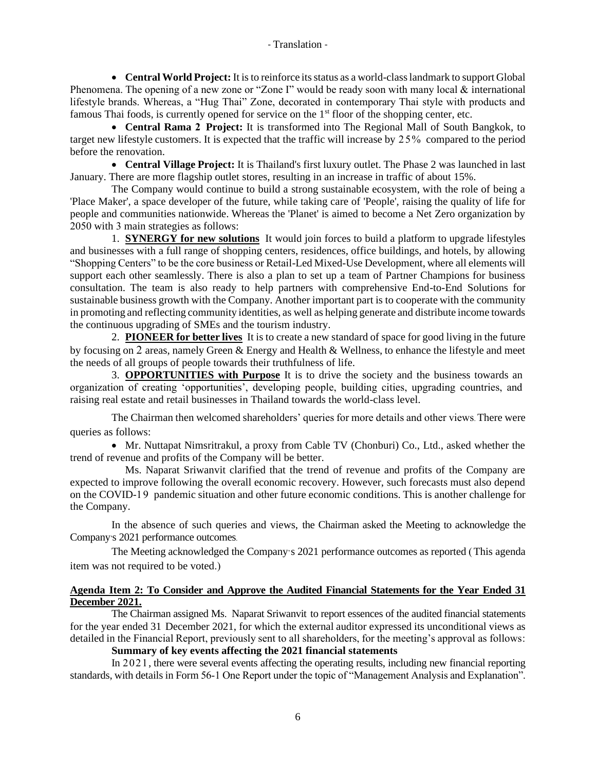• **Central World Project:** It is to reinforce its status as a world-class landmark to support Global Phenomena. The opening of a new zone or "Zone I" would be ready soon with many local & international lifestyle brands. Whereas, a "Hug Thai" Zone, decorated in contemporary Thai style with products and famous Thai foods, is currently opened for service on the 1<sup>st</sup> floor of the shopping center, etc.

• **Central Rama 2 Project:** It is transformed into The Regional Mall of South Bangkok, to target new lifestyle customers. It is expected that the traffic will increase by 25% compared to the period before the renovation.

• **Central Village Project:** It is Thailand's first luxury outlet. The Phase 2 was launched in last January. There are more flagship outlet stores, resulting in an increase in traffic of about 15%.

The Company would continue to build a strong sustainable ecosystem, with the role of being a 'Place Maker', a space developer of the future, while taking care of 'People', raising the quality of life for people and communities nationwide. Whereas the 'Planet' is aimed to become a Net Zero organization by 2050 with 3 main strategies as follows:

1. **SYNERGY for new solutions** It would join forces to build a platform to upgrade lifestyles and businesses with a full range of shopping centers, residences, office buildings, and hotels, by allowing "Shopping Centers" to be the core business or Retail-Led Mixed-Use Development, where all elements will support each other seamlessly. There is also a plan to set up a team of Partner Champions for business consultation. The team is also ready to help partners with comprehensive End-to-End Solutions for sustainable business growth with the Company. Another important part is to cooperate with the community in promoting and reflecting community identities, as well as helping generate and distribute income towards the continuous upgrading of SMEs and the tourism industry.

2. **PIONEER for better lives** It is to create a new standard of space for good living in the future by focusing on 2 areas, namely Green & Energy and Health & Wellness, to enhance the lifestyle and meet the needs of all groups of people towards their truthfulness of life.

3. **OPPORTUNITIES with Purpose** It is to drive the society and the business towards an organization of creating 'opportunities', developing people, building cities, upgrading countries, and raising real estate and retail businesses in Thailand towards the world-class level.

The Chairman then welcomed shareholders' queries for more details and other views. There were queries as follows:

• Mr. Nuttapat Nimsritrakul, a proxy from Cable TV (Chonburi) Co., Ltd., asked whether the trend of revenue and profits of the Company will be better.

Ms. Naparat Sriwanvit clarified that the trend of revenue and profits of the Company are expected to improve following the overall economic recovery. However, such forecasts must also depend on the COVID-19 pandemic situation and other future economic conditions. This is another challenge for the Company.

In the absence of such queries and views, the Chairman asked the Meeting to acknowledge the Company's 2021 performance outcomes.

The Meeting acknowledged the Company's 2021 performance outcomes as reported (This agenda item was not required to be voted.)

## **Agenda Item 2: To Consider and Approve the Audited Financial Statements for the Year Ended 31 December 2021.**

The Chairman assigned Ms. Naparat Sriwanvit to report essences of the audited financial statements for the year ended 31 December 2021, for which the external auditor expressed its unconditional views as detailed in the Financial Report, previously sent to all shareholders, for the meeting's approval as follows:

**Summary of key events affecting the 2021 financial statements**

In 2021, there were several events affecting the operating results, including new financial reporting standards, with details in Form 56-1 One Report under the topic of "Management Analysis and Explanation".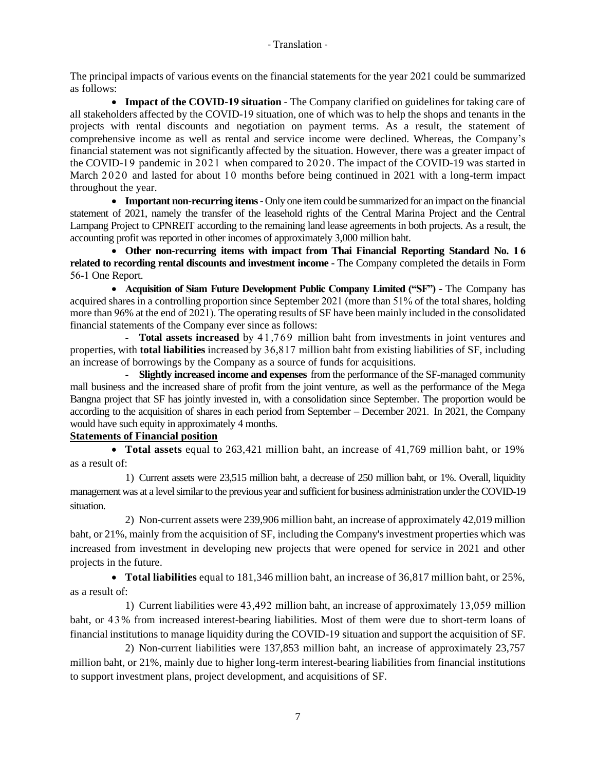The principal impacts of various events on the financial statements for the year 2021 could be summarized as follows:

• **Impact of the COVID-19 situation** - The Company clarified on guidelines for taking care of all stakeholders affected by the COVID-19 situation, one of which was to help the shops and tenants in the projects with rental discounts and negotiation on payment terms. As a result, the statement of comprehensive income as well as rental and service income were declined. Whereas, the Company's financial statement was not significantly affected by the situation. However, there was a greater impact of the COVID-19 pandemic in 2021 when compared to 2020. The impact of the COVID-19 was started in March 2020 and lasted for about 10 months before being continued in 2021 with a long-term impact throughout the year.

• **Important non-recurring items** - Only one item could be summarized for an impact on the financial statement of 2021, namely the transfer of the leasehold rights of the Central Marina Project and the Central Lampang Project to CPNREIT according to the remaining land lease agreements in both projects. As a result, the accounting profit was reported in other incomes of approximately 3,000 million baht.

• **Other non-recurring items with impact from Thai Financial Reporting Standard No. 1 6 related to recording rental discounts and investment income -** The Company completed the details in Form 56-1 One Report.

• **Acquisition of Siam Future Development Public Company Limited ("SF") -** The Company has acquired shares in a controlling proportion since September 2021 (more than 51% of the total shares, holding more than 96% at the end of 2021). The operating results of SF have been mainly included in the consolidated financial statements of the Company ever since as follows:

**- Total assets increased** by 41,769 million baht from investments in joint ventures and properties, with **total liabilities** increased by 36,817 million baht from existing liabilities of SF, including an increase of borrowings by the Company as a source of funds for acquisitions.

**- Slightly increased income and expenses** from the performance of the SF-managed community mall business and the increased share of profit from the joint venture, as well as the performance of the Mega Bangna project that SF has jointly invested in, with a consolidation since September. The proportion would be according to the acquisition of shares in each period from September – December 2021. In 2021, the Company would have such equity in approximately 4 months.

# **Statements of Financial position**

• **Total assets** equal to 263,421 million baht, an increase of 41,769 million baht, or 19% as a result of:

1) Current assets were 23,515 million baht, a decrease of 250 million baht, or 1%. Overall, liquidity management was at a level similar to the previous year and sufficient for business administration under the COVID-19 situation.

2) Non-current assets were 239,906 million baht, an increase of approximately 42,019 million baht, or 21%, mainly from the acquisition of SF, including the Company's investment properties which was increased from investment in developing new projects that were opened for service in 2021 and other projects in the future.

• **Total liabilities** equal to 181,346 million baht, an increase of 36,817 million baht, or 25%, as a result of:

1) Current liabilities were 43,492 million baht, an increase of approximately 13,059 million baht, or 43% from increased interest-bearing liabilities. Most of them were due to short-term loans of financial institutions to manage liquidity during the COVID-19 situation and support the acquisition of SF.

2) Non-current liabilities were 137,853 million baht, an increase of approximately 23,757 million baht, or 21%, mainly due to higher long-term interest-bearing liabilities from financial institutions to support investment plans, project development, and acquisitions of SF.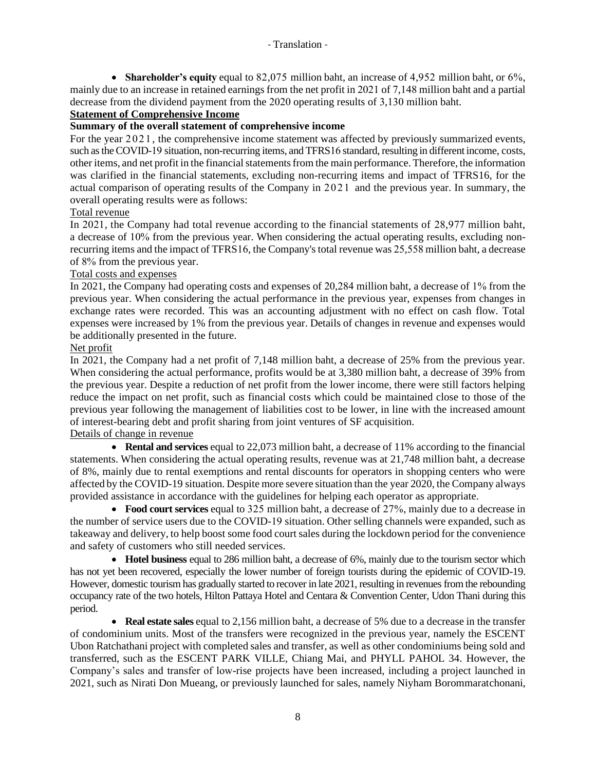• **Shareholder's equity** equal to 82,075 million baht, an increase of 4,952 million baht, or 6%, mainly due to an increase in retained earnings from the net profit in 2021 of 7,148 million baht and a partial decrease from the dividend payment from the 2020 operating results of 3,130 million baht.

# **Statement of Comprehensive Income**

# **Summary of the overall statement of comprehensive income**

For the year 2021, the comprehensive income statement was affected by previously summarized events, such as the COVID-19 situation, non-recurring items, and TFRS16 standard, resulting in different income, costs, other items, and net profit in the financialstatements from the main performance. Therefore, the information was clarified in the financial statements, excluding non-recurring items and impact of TFRS16, for the actual comparison of operating results of the Company in 2021 and the previous year. In summary, the overall operating results were as follows:

## Total revenue

In 2021, the Company had total revenue according to the financial statements of 28,977 million baht, a decrease of 10% from the previous year. When considering the actual operating results, excluding nonrecurring items and the impact of TFRS16, the Company's total revenue was 25,558 million baht, a decrease of 8% from the previous year.

# Total costs and expenses

In 2021, the Company had operating costs and expenses of 20,284 million baht, a decrease of 1% from the previous year. When considering the actual performance in the previous year, expenses from changes in exchange rates were recorded. This was an accounting adjustment with no effect on cash flow. Total expenses were increased by 1% from the previous year. Details of changes in revenue and expenses would be additionally presented in the future.

## Net profit

In 2021, the Company had a net profit of 7,148 million baht, a decrease of 25% from the previous year. When considering the actual performance, profits would be at 3,380 million baht, a decrease of 39% from the previous year. Despite a reduction of net profit from the lower income, there were still factors helping reduce the impact on net profit, such as financial costs which could be maintained close to those of the previous year following the management of liabilities cost to be lower, in line with the increased amount of interest-bearing debt and profit sharing from joint ventures of SF acquisition.

Details of change in revenue

• **Rental and services** equal to 22,073 million baht, a decrease of 11% according to the financial statements. When considering the actual operating results, revenue was at 21,748 million baht, a decrease of 8%, mainly due to rental exemptions and rental discounts for operators in shopping centers who were affected by the COVID-19 situation. Despite more severe situation than the year 2020, the Company always provided assistance in accordance with the guidelines for helping each operator as appropriate.

• **Food court services** equal to 325 million baht, a decrease of 27%, mainly due to a decrease in the number of service users due to the COVID-19 situation. Other selling channels were expanded, such as takeaway and delivery, to help boost some food court sales during the lockdown period for the convenience and safety of customers who still needed services.

• **Hotel business** equal to 286 million baht, a decrease of 6%, mainly due to the tourism sector which has not yet been recovered, especially the lower number of foreign tourists during the epidemic of COVID-19. However, domestic tourism has gradually started to recover in late 2021, resulting in revenues from the rebounding occupancy rate of the two hotels, Hilton Pattaya Hotel and Centara & Convention Center, Udon Thani during this period.

• **Real estate sales** equal to 2,156 million baht, a decrease of 5% due to a decrease in the transfer of condominium units. Most of the transfers were recognized in the previous year, namely the ESCENT Ubon Ratchathani project with completed sales and transfer, as well as other condominiums being sold and transferred, such as the ESCENT PARK VILLE, Chiang Mai, and PHYLL PAHOL 34. However, the Company's sales and transfer of low-rise projects have been increased, including a project launched in 2021, such as Nirati Don Mueang, or previously launched for sales, namely Niyham Borommaratchonani,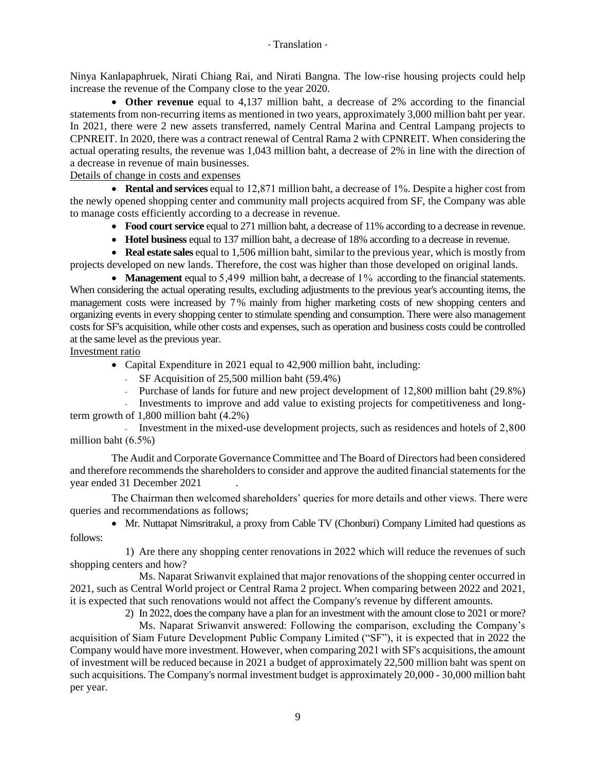Ninya Kanlapaphruek, Nirati Chiang Rai, and Nirati Bangna. The low-rise housing projects could help increase the revenue of the Company close to the year 2020.

• **Other revenue** equal to 4,137 million baht, a decrease of 2% according to the financial statements from non-recurring items as mentioned in two years, approximately 3,000 million baht per year. In 2021, there were 2 new assets transferred, namely Central Marina and Central Lampang projects to CPNREIT. In 2020, there was a contract renewal of Central Rama 2 with CPNREIT. When considering the actual operating results, the revenue was 1,043 million baht, a decrease of 2% in line with the direction of a decrease in revenue of main businesses.

Details of change in costs and expenses

• **Rental and services** equal to 12,871 million baht, a decrease of 1%. Despite a higher cost from the newly opened shopping center and community mall projects acquired from SF, the Company was able to manage costs efficiently according to a decrease in revenue.

- **Food court service** equal to 271 million baht, a decrease of 11% according to a decrease in revenue.
- **Hotel business** equal to 137 million baht, a decrease of 18% according to a decrease in revenue.

• **Real estate sales** equal to 1,506 million baht, similar to the previous year, which is mostly from projects developed on new lands. Therefore, the cost was higher than those developed on original lands.

• **Management** equal to 5,499 million baht, a decrease of 1% according to the financial statements. When considering the actual operating results, excluding adjustments to the previous year's accounting items, the management costs were increased by 7% mainly from higher marketing costs of new shopping centers and organizing events in every shopping center to stimulate spending and consumption. There were also management costs for SF's acquisition, while other costs and expenses, such as operation and business costs could be controlled at the same level as the previous year.

Investment ratio

- Capital Expenditure in 2021 equal to 42,900 million baht, including:
	- SF Acquisition of 25,500 million baht (59.4%)
	- Purchase of lands for future and new project development of 12,800 million baht (29.8%)

- Investments to improve and add value to existing projects for competitiveness and longterm growth of 1,800 million baht (4.2%)

- Investment in the mixed-use development projects, such as residences and hotels of 2,800 million baht (6.5%)

The Audit and Corporate Governance Committee and The Board of Directors had been considered and therefore recommends the shareholders to consider and approve the audited financial statements for the year ended 31 December 2021 .

The Chairman then welcomed shareholders' queries for more details and other views. There were queries and recommendations as follows;

• Mr. Nuttapat Nimsritrakul, a proxy from Cable TV (Chonburi) Company Limited had questions as follows:

1) Are there any shopping center renovations in 2022 which will reduce the revenues of such shopping centers and how?

Ms. Naparat Sriwanvit explained that major renovations of the shopping center occurred in 2021, such as Central World project or Central Rama 2 project. When comparing between 2022 and 2021, it is expected that such renovations would not affect the Company's revenue by different amounts.

2) In 2022, does the company have a plan for an investment with the amount close to 2021 or more?

Ms. Naparat Sriwanvit answered: Following the comparison, excluding the Company's acquisition of Siam Future Development Public Company Limited ("SF"), it is expected that in 2022 the Company would have more investment. However, when comparing 2021 with SF's acquisitions, the amount of investment will be reduced because in 2021 a budget of approximately 22,500 million baht was spent on such acquisitions. The Company's normal investment budget is approximately 20,000 - 30,000 million baht per year.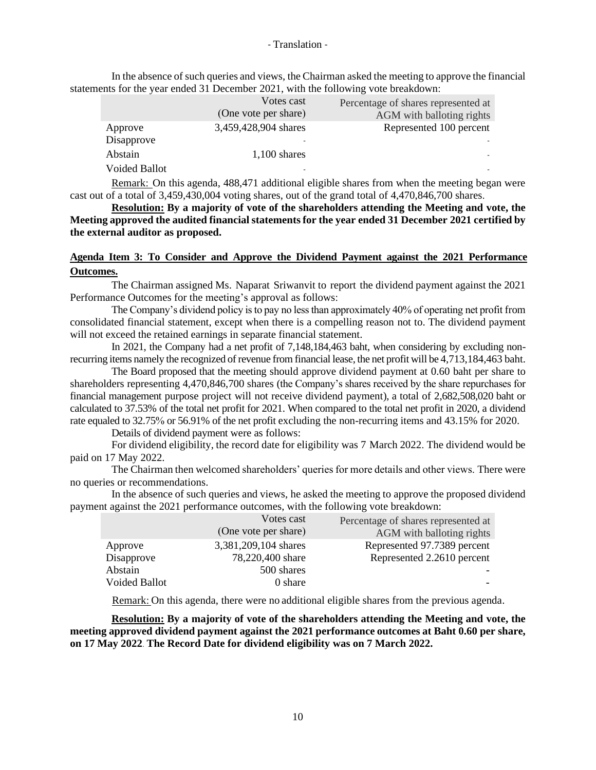In the absence of such queries and views, the Chairman asked the meeting to approve the financial statements for the year ended 31 December 2021, with the following vote breakdown:

|                      | Votes cast<br>(One vote per share) | Percentage of shares represented at<br>AGM with balloting rights |
|----------------------|------------------------------------|------------------------------------------------------------------|
| Approve              | 3,459,428,904 shares               | Represented 100 percent                                          |
| Disapprove           | $\overline{\phantom{0}}$           |                                                                  |
| Abstain              | $1,100$ shares                     |                                                                  |
| <b>Voided Ballot</b> | $\overline{\phantom{0}}$           |                                                                  |

Remark: On this agenda, 488,471 additional eligible shares from when the meeting began were cast out of a total of 3,459,430,004 voting shares, out of the grand total of 4,470,846,700 shares.

**Resolution: By a majority of vote of the shareholders attending the Meeting and vote, the Meeting approved the audited financial statements for the year ended 31 December 2021 certified by the external auditor as proposed.**

# **Agenda Item 3: To Consider and Approve the Dividend Payment against the 2021 Performance Outcomes.**

The Chairman assigned Ms. Naparat Sriwanvit to report the dividend payment against the 2021 Performance Outcomes for the meeting's approval as follows:

The Company's dividend policy is to pay no less than approximately 40% of operating net profit from consolidated financial statement, except when there is a compelling reason not to. The dividend payment will not exceed the retained earnings in separate financial statement.

In 2021, the Company had a net profit of 7,148,184,463 baht, when considering by excluding nonrecurring items namely the recognized of revenue from financial lease, the net profit will be 4,713,184,463 baht.

The Board proposed that the meeting should approve dividend payment at 0.60 baht per share to shareholders representing 4,470,846,700 shares (the Company's shares received by the share repurchases for financial management purpose project will not receive dividend payment), a total of 2,682,508,020 baht or calculated to 37.53% of the total net profit for 2021. When compared to the total net profit in 2020, a dividend rate equaled to 32.75% or 56.91% of the net profit excluding the non-recurring items and 43.15% for 2020.

Details of dividend payment were as follows:

For dividend eligibility, the record date for eligibility was 7 March 2022. The dividend would be paid on 17 May 2022.

The Chairman then welcomed shareholders' queries for more details and other views. There were no queries or recommendations.

In the absence of such queries and views, he asked the meeting to approve the proposed dividend payment against the 2021 performance outcomes, with the following vote breakdown:

|                      | Votes cast           | Percentage of shares represented at |
|----------------------|----------------------|-------------------------------------|
|                      | (One vote per share) | AGM with balloting rights           |
| Approve              | 3,381,209,104 shares | Represented 97.7389 percent         |
| Disapprove           | 78,220,400 share     | Represented 2.2610 percent          |
| Abstain              | 500 shares           |                                     |
| <b>Voided Ballot</b> | 0 share              |                                     |

Remark: On this agenda, there were no additional eligible shares from the previous agenda.

**Resolution: By a majority of vote of the shareholders attending the Meeting and vote, the meeting approved dividend payment against the 2021 performance outcomes at Baht 0.60 per share, on 17 May 2022. The Record Date for dividend eligibility was on 7 March 2022.**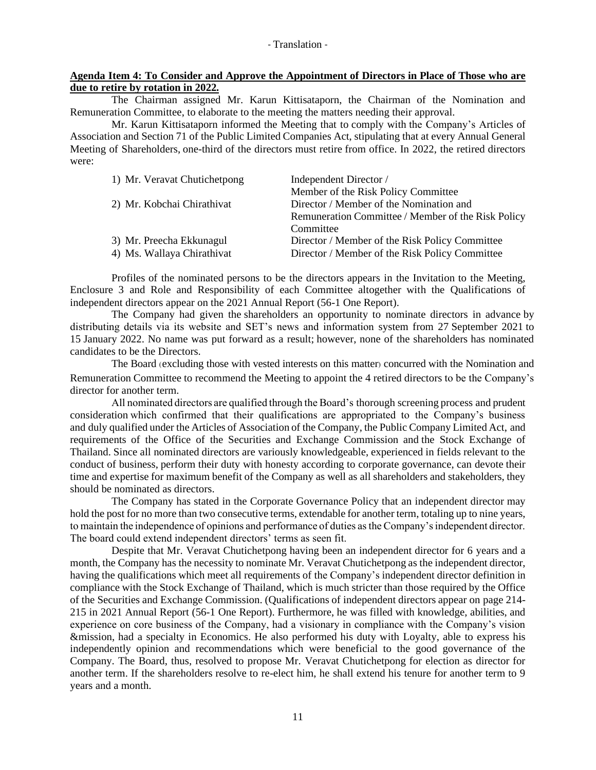### **Agenda Item 4: To Consider and Approve the Appointment of Directors in Place of Those who are due to retire by rotation in 2022.**

The Chairman assigned Mr. Karun Kittisataporn, the Chairman of the Nomination and Remuneration Committee, to elaborate to the meeting the matters needing their approval.

Mr. Karun Kittisataporn informed the Meeting that to comply with the Company's Articles of Association and Section 71 of the Public Limited Companies Act, stipulating that at every Annual General Meeting of Shareholders, one-third of the directors must retire from office. In 2022, the retired directors were:

| 1) Mr. Veravat Chutichetpong | Independent Director /                             |
|------------------------------|----------------------------------------------------|
|                              | Member of the Risk Policy Committee                |
| 2) Mr. Kobchai Chirathivat   | Director / Member of the Nomination and            |
|                              | Remuneration Committee / Member of the Risk Policy |
|                              | Committee                                          |
| 3) Mr. Preecha Ekkunagul     | Director / Member of the Risk Policy Committee     |
| 4) Ms. Wallaya Chirathivat   | Director / Member of the Risk Policy Committee     |

Profiles of the nominated persons to be the directors appears in the Invitation to the Meeting, Enclosure 3 and Role and Responsibility of each Committee altogether with the Qualifications of independent directors appear on the 2021 Annual Report (56-1 One Report).

The Company had given the shareholders an opportunity to nominate directors in advance by distributing details via its website and SET's news and information system from 27 September 2021 to 15 January 2022. No name was put forward as a result; however, none of the shareholders has nominated candidates to be the Directors.

The Board (excluding those with vested interests on this matter) concurred with the Nomination and Remuneration Committee to recommend the Meeting to appoint the 4 retired directors to be the Company's director for another term.

All nominated directors are qualified through the Board's thorough screening process and prudent consideration which confirmed that their qualifications are appropriated to the Company's business and duly qualified under the Articles of Association of the Company, the Public Company Limited Act, and requirements of the Office of the Securities and Exchange Commission and the Stock Exchange of Thailand. Since all nominated directors are variously knowledgeable, experienced in fields relevant to the conduct of business, perform their duty with honesty according to corporate governance, can devote their time and expertise for maximum benefit of the Company as well as all shareholders and stakeholders, they should be nominated as directors.

The Company has stated in the Corporate Governance Policy that an independent director may hold the post for no more than two consecutive terms, extendable for another term, totaling up to nine years, to maintain the independence of opinions and performance of duties as the Company's independent director. The board could extend independent directors' terms as seen fit.

Despite that Mr. Veravat Chutichetpong having been an independent director for 6 years and a month, the Company has the necessity to nominate Mr. Veravat Chutichetpong as the independent director, having the qualifications which meet all requirements of the Company's independent director definition in compliance with the Stock Exchange of Thailand, which is much stricter than those required by the Office of the Securities and Exchange Commission. (Qualifications of independent directors appear on page 214- 215 in 2021 Annual Report (56-1 One Report). Furthermore, he was filled with knowledge, abilities, and experience on core business of the Company, had a visionary in compliance with the Company's vision &mission, had a specialty in Economics. He also performed his duty with Loyalty, able to express his independently opinion and recommendations which were beneficial to the good governance of the Company. The Board, thus, resolved to propose Mr. Veravat Chutichetpong for election as director for another term. If the shareholders resolve to re-elect him, he shall extend his tenure for another term to 9 years and a month.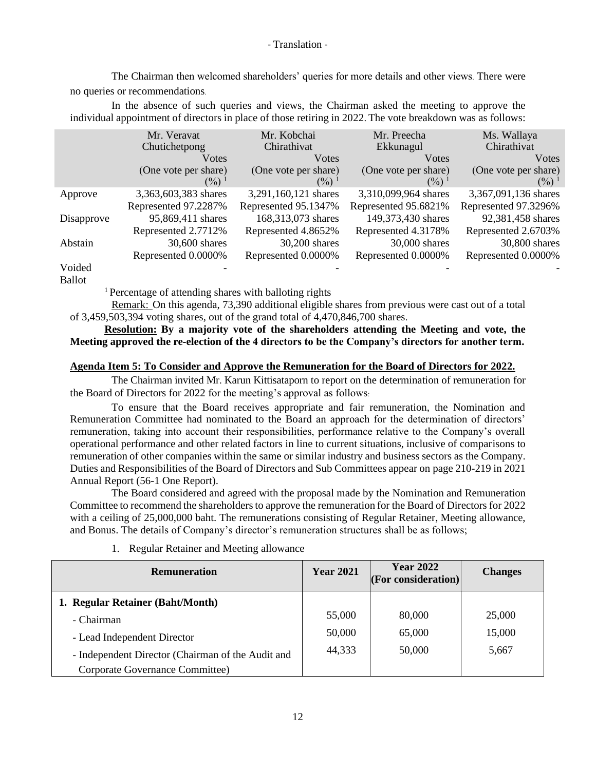The Chairman then welcomed shareholders' queries for more details and other views. There were no queries or recommendations.

In the absence of such queries and views, the Chairman asked the meeting to approve the individual appointment of directors in place of those retiring in 2022. The vote breakdown was as follows:

|            | Mr. Veravat                            | Mr. Kobchai                    | Mr. Preecha                    | Ms. Wallaya                               |
|------------|----------------------------------------|--------------------------------|--------------------------------|-------------------------------------------|
|            | Chutichetpong                          | Chirathivat                    | Ekkunagul                      | Chirathivat                               |
|            | Votes                                  | Votes                          | Votes                          | <b>V</b> otes                             |
|            | (One vote per share)<br>$\binom{0}{0}$ | (One vote per share)<br>$(\%)$ | (One vote per share)<br>$(\%)$ | (One vote per share)<br>$(\frac{9}{0})^1$ |
| Approve    | 3,363,603,383 shares                   | 3,291,160,121 shares           | 3,310,099,964 shares           | 3,367,091,136 shares                      |
|            | Represented 97.2287%                   | Represented 95.1347%           | Represented 95.6821%           | Represented 97.3296%                      |
| Disapprove | 95,869,411 shares                      | 168,313,073 shares             | 149,373,430 shares             | 92,381,458 shares                         |
|            | Represented 2.7712%                    | Represented 4.8652%            | Represented 4.3178%            | Represented 2.6703%                       |
| Abstain    | 30,600 shares                          | 30,200 shares                  | 30,000 shares                  | 30,800 shares                             |
|            | Represented 0.0000%                    | Represented 0.0000%            | Represented 0.0000%            | Represented 0.0000%                       |
| Voided     |                                        |                                |                                |                                           |

Ballot

<sup>1</sup>Percentage of attending shares with balloting rights

Remark: On this agenda, 73,390 additional eligible shares from previous were cast out of a total of 3,459,503,394 voting shares, out of the grand total of 4,470,846,700 shares.

**Resolution: By a majority vote of the shareholders attending the Meeting and vote, the Meeting approved the re-election of the 4 directors to be the Company's directors for another term.** 

### **Agenda Item 5: To Consider and Approve the Remuneration for the Board of Directors for 2022.**

The Chairman invited Mr. Karun Kittisataporn to report on the determination of remuneration for the Board of Directors for 2022 for the meeting's approval as follows:

To ensure that the Board receives appropriate and fair remuneration, the Nomination and Remuneration Committee had nominated to the Board an approach for the determination of directors' remuneration, taking into account their responsibilities, performance relative to the Company's overall operational performance and other related factors in line to current situations, inclusive of comparisons to remuneration of other companies within the same or similar industry and business sectors as the Company. Duties and Responsibilities of the Board of Directors and Sub Committees appear on page 210-219 in 2021 Annual Report (56-1 One Report).

The Board considered and agreed with the proposal made by the Nomination and Remuneration Committee to recommend the shareholders to approve the remuneration for the Board of Directors for 2022 with a ceiling of 25,000,000 baht. The remunerations consisting of Regular Retainer, Meeting allowance, and Bonus. The details of Company's director's remuneration structures shall be as follows;

| <b>Remuneration</b>                               | <b>Year 2021</b> | <b>Year 2022</b><br> For consideration | <b>Changes</b> |
|---------------------------------------------------|------------------|----------------------------------------|----------------|
| 1. Regular Retainer (Baht/Month)                  |                  |                                        |                |
| - Chairman                                        | 55,000           | 80,000                                 | 25,000         |
| - Lead Independent Director                       | 50,000           | 65,000                                 | 15,000         |
| - Independent Director (Chairman of the Audit and | 44,333           | 50,000                                 | 5,667          |
| Corporate Governance Committee)                   |                  |                                        |                |

1. Regular Retainer and Meeting allowance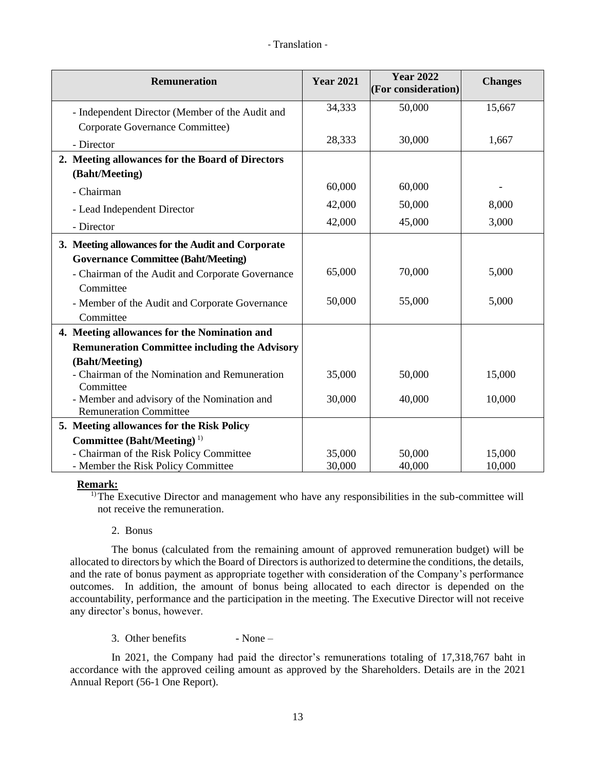| <b>Remuneration</b>                                        | <b>Year 2021</b> | <b>Year 2022</b><br>(For consideration) | <b>Changes</b> |
|------------------------------------------------------------|------------------|-----------------------------------------|----------------|
| - Independent Director (Member of the Audit and            | 34,333           | 50,000                                  | 15,667         |
| Corporate Governance Committee)                            |                  |                                         |                |
| - Director                                                 | 28,333           | 30,000                                  | 1,667          |
| 2. Meeting allowances for the Board of Directors           |                  |                                         |                |
| (Baht/Meeting)                                             |                  |                                         |                |
| - Chairman                                                 | 60,000           | 60,000                                  |                |
| - Lead Independent Director                                | 42,000           | 50,000                                  | 8,000          |
| - Director                                                 | 42,000           | 45,000                                  | 3,000          |
| 3. Meeting allowances for the Audit and Corporate          |                  |                                         |                |
| <b>Governance Committee (Baht/Meeting)</b>                 |                  |                                         |                |
| - Chairman of the Audit and Corporate Governance           | 65,000           | 70,000                                  | 5,000          |
| Committee                                                  |                  |                                         |                |
| - Member of the Audit and Corporate Governance             | 50,000           | 55,000                                  | 5,000          |
| Committee                                                  |                  |                                         |                |
| 4. Meeting allowances for the Nomination and               |                  |                                         |                |
| <b>Remuneration Committee including the Advisory</b>       |                  |                                         |                |
| (Baht/Meeting)                                             |                  |                                         |                |
| - Chairman of the Nomination and Remuneration<br>Committee | 35,000           | 50,000                                  | 15,000         |
| - Member and advisory of the Nomination and                | 30,000           | 40,000                                  | 10,000         |
| <b>Remuneration Committee</b>                              |                  |                                         |                |
| 5. Meeting allowances for the Risk Policy                  |                  |                                         |                |
| Committee (Baht/Meeting) <sup>1)</sup>                     |                  |                                         |                |
| - Chairman of the Risk Policy Committee                    | 35,000           | 50,000                                  | 15,000         |
| - Member the Risk Policy Committee                         | 30,000           | 40,000                                  | 10,000         |

### **Remark:**

<sup>1)</sup>The Executive Director and management who have any responsibilities in the sub-committee will not receive the remuneration.

2. Bonus

The bonus (calculated from the remaining amount of approved remuneration budget) will be allocated to directors by which the Board of Directors is authorized to determine the conditions, the details, and the rate of bonus payment as appropriate together with consideration of the Company's performance outcomes. In addition, the amount of bonus being allocated to each director is depended on the accountability, performance and the participation in the meeting. The Executive Director will not receive any director's bonus, however.

3. Other benefits  $\blacksquare$  - None –

In 2021, the Company had paid the director's remunerations totaling of 17,318,767 baht in accordance with the approved ceiling amount as approved by the Shareholders. Details are in the 2021 Annual Report (56-1 One Report).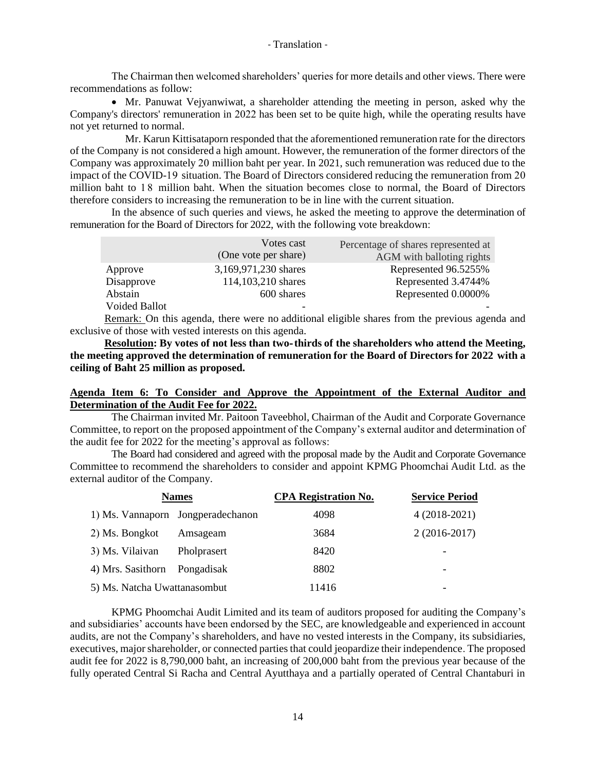The Chairman then welcomed shareholders' queries for more details and other views. There were recommendations as follow:

• Mr. Panuwat Vejyanwiwat, a shareholder attending the meeting in person, asked why the Company's directors' remuneration in 2022 has been set to be quite high, while the operating results have not yet returned to normal.

Mr. Karun Kittisataporn responded that the aforementioned remuneration rate for the directors of the Company is not considered a high amount. However, the remuneration of the former directors of the Company was approximately 20 million baht per year. In 2021, such remuneration was reduced due to the impact of the COVID-19 situation. The Board of Directors considered reducing the remuneration from 20 million baht to 18 million baht. When the situation becomes close to normal, the Board of Directors therefore considers to increasing the remuneration to be in line with the current situation.

In the absence of such queries and views, he asked the meeting to approve the determination of remuneration for the Board of Directors for 2022, with the following vote breakdown:

|                      | Votes cast           | Percentage of shares represented at |
|----------------------|----------------------|-------------------------------------|
|                      | (One vote per share) | AGM with balloting rights           |
| Approve              | 3,169,971,230 shares | Represented 96.5255%                |
| Disapprove           | 114,103,210 shares   | Represented 3.4744%                 |
| Abstain              | 600 shares           | Represented 0.0000%                 |
| <b>Voided Ballot</b> | -                    |                                     |

Remark: On this agenda, there were no additional eligible shares from the previous agenda and exclusive of those with vested interests on this agenda.

**Resolution: By votes of not less than two-thirds of the shareholders who attend the Meeting, the meeting approved the determination of remuneration for the Board of Directors for 2022 with a ceiling of Baht 25 million as proposed.**

### **Agenda Item 6: To Consider and Approve the Appointment of the External Auditor and Determination of the Audit Fee for 2022.**

The Chairman invited Mr. Paitoon Taveebhol, Chairman of the Audit and Corporate Governance Committee, to report on the proposed appointment of the Company's external auditor and determination of the audit fee for 2022 for the meeting's approval as follows:

The Board had considered and agreed with the proposal made by the Audit and Corporate Governance Committee to recommend the shareholders to consider and appoint KPMG Phoomchai Audit Ltd. as the external auditor of the Company.

| <b>Names</b>                 |                                   | <b>CPA Registration No.</b> | <b>Service Period</b> |  |
|------------------------------|-----------------------------------|-----------------------------|-----------------------|--|
|                              | 1) Ms. Vannaporn Jongperadechanon | 4098                        | $4(2018-2021)$        |  |
| 2) Ms. Bongkot               | Amsageam                          | 3684                        | $2(2016-2017)$        |  |
| 3) Ms. Vilaivan              | Pholprasert                       | 8420                        |                       |  |
| 4) Mrs. Sasithorn            | Pongadisak                        | 8802                        |                       |  |
| 5) Ms. Natcha Uwattanasombut |                                   | 11416                       | -                     |  |

KPMG Phoomchai Audit Limited and its team of auditors proposed for auditing the Company's and subsidiaries' accounts have been endorsed by the SEC, are knowledgeable and experienced in account audits, are not the Company's shareholders, and have no vested interests in the Company, its subsidiaries, executives, major shareholder, or connected parties that could jeopardize their independence. The proposed audit fee for 2022 is 8,790,000 baht, an increasing of 200,000 baht from the previous year because of the fully operated Central Si Racha and Central Ayutthaya and a partially operated of Central Chantaburi in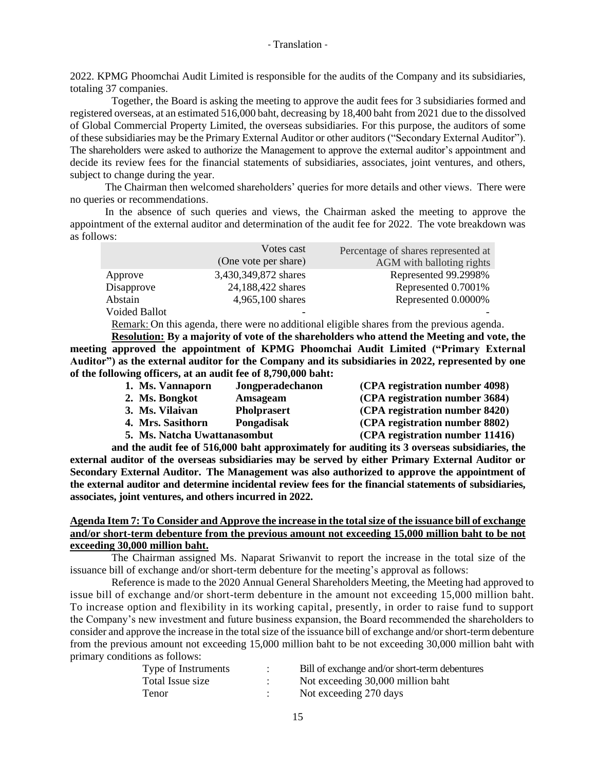2022. KPMG Phoomchai Audit Limited is responsible for the audits of the Company and its subsidiaries, totaling 37 companies.

Together, the Board is asking the meeting to approve the audit fees for 3 subsidiaries formed and registered overseas, at an estimated 516,000 baht, decreasing by 18,400 baht from 2021 due to the dissolved of Global Commercial Property Limited, the overseas subsidiaries. For this purpose, the auditors of some of these subsidiaries may be the Primary External Auditor or other auditors ("Secondary External Auditor"). The shareholders were asked to authorize the Management to approve the external auditor's appointment and decide its review fees for the financial statements of subsidiaries, associates, joint ventures, and others, subject to change during the year.

The Chairman then welcomed shareholders' queries for more details and other views. There were no queries or recommendations.

In the absence of such queries and views, the Chairman asked the meeting to approve the appointment of the external auditor and determination of the audit fee for 2022. The vote breakdown was as follows:

|                      | Votes cast           | Percentage of shares represented at |
|----------------------|----------------------|-------------------------------------|
|                      | (One vote per share) | AGM with balloting rights           |
| Approve              | 3,430,349,872 shares | Represented 99.2998%                |
| Disapprove           | 24,188,422 shares    | Represented 0.7001%                 |
| Abstain              | 4,965,100 shares     | Represented 0.0000%                 |
| <b>Voided Ballot</b> | -                    |                                     |

Remark: On this agenda, there were no additional eligible shares from the previous agenda.

**Resolution: By a majority of vote of the shareholders who attend the Meeting and vote, the meeting approved the appointment of KPMG Phoomchai Audit Limited ("Primary External Auditor") as the external auditor for the Company and its subsidiaries in 2022, represented by one of the following officers, at an audit fee of 8,790,000 baht:**

| 1. Ms. Vannaporn             | Jongperadechanon   | (CPA registration number 4098)  |
|------------------------------|--------------------|---------------------------------|
| 2. Ms. Bongkot               | Amsageam           | (CPA registration number 3684)  |
| 3. Ms. Vilaivan              | <b>Pholprasert</b> | (CPA registration number 8420)  |
| 4. Mrs. Sasithorn            | Pongadisak         | (CPA registration number 8802)  |
| 5. Ms. Natcha Uwattanasombut |                    | (CPA registration number 11416) |

**and the audit fee of 516,000 baht approximately for auditing its 3 overseas subsidiaries, the external auditor of the overseas subsidiaries may be served by either Primary External Auditor or Secondary External Auditor. The Management was also authorized to approve the appointment of the external auditor and determine incidental review fees for the financial statements of subsidiaries, associates, joint ventures, and others incurred in 2022.**

## **Agenda Item 7: To Consider and Approve the increase in the total size of the issuance bill of exchange and/or short-term debenture from the previous amount not exceeding 15,000 million baht to be not exceeding 30,000 million baht.**

The Chairman assigned Ms. Naparat Sriwanvit to report the increase in the total size of the issuance bill of exchange and/or short-term debenture for the meeting's approval as follows:

Reference is made to the 2020 Annual General Shareholders Meeting, the Meeting had approved to issue bill of exchange and/or short-term debenture in the amount not exceeding 15,000 million baht. To increase option and flexibility in its working capital, presently, in order to raise fund to support the Company's new investment and future business expansion, the Board recommended the shareholders to consider and approve the increase in the total size of the issuance bill of exchange and/or short-term debenture from the previous amount not exceeding 15,000 million baht to be not exceeding 30,000 million baht with primary conditions as follows:

| Type of Instruments | Bill of exchange and/or short-term debentures |
|---------------------|-----------------------------------------------|
| Total Issue size    | Not exceeding 30,000 million baht             |
| Tenor               | Not exceeding 270 days                        |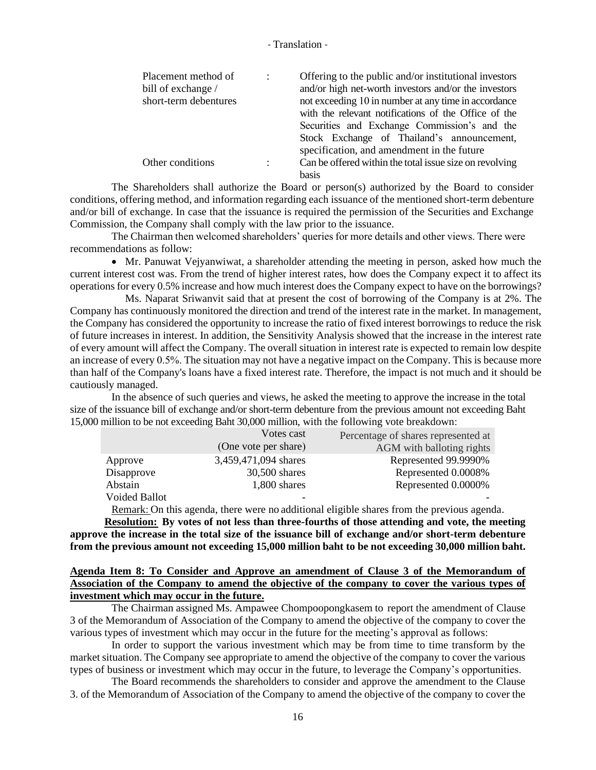| Placement method of<br>bill of exchange /<br>short-term debentures | $\ddot{\cdot}$ | Offering to the public and/or institutional investors<br>and/or high net-worth investors and/or the investors<br>not exceeding 10 in number at any time in accordance<br>with the relevant notifications of the Office of the<br>Securities and Exchange Commission's and the<br>Stock Exchange of Thailand's announcement,<br>specification, and amendment in the future |
|--------------------------------------------------------------------|----------------|---------------------------------------------------------------------------------------------------------------------------------------------------------------------------------------------------------------------------------------------------------------------------------------------------------------------------------------------------------------------------|
| Other conditions                                                   | $\ddot{\cdot}$ | Can be offered within the total issue size on revolving<br><b>basis</b>                                                                                                                                                                                                                                                                                                   |

The Shareholders shall authorize the Board or person(s) authorized by the Board to consider conditions, offering method, and information regarding each issuance of the mentioned short-term debenture and/or bill of exchange. In case that the issuance is required the permission of the Securities and Exchange Commission, the Company shall comply with the law prior to the issuance.

The Chairman then welcomed shareholders' queries for more details and other views. There were recommendations as follow:

• Mr. Panuwat Vejyanwiwat, a shareholder attending the meeting in person, asked how much the current interest cost was. From the trend of higher interest rates, how does the Company expect it to affect its operations for every 0.5% increase and how much interest does the Company expect to have on the borrowings?

Ms. Naparat Sriwanvit said that at present the cost of borrowing of the Company is at 2%. The Company has continuously monitored the direction and trend of the interest rate in the market. In management, the Company has considered the opportunity to increase the ratio of fixed interest borrowings to reduce the risk of future increases in interest. In addition, the Sensitivity Analysis showed that the increase in the interest rate of every amount will affect the Company. The overall situation in interest rate is expected to remain low despite an increase of every 0.5%. The situation may not have a negative impact on the Company. This is because more than half of the Company's loans have a fixed interest rate. Therefore, the impact is not much and it should be cautiously managed.

In the absence of such queries and views, he asked the meeting to approve the increase in the total size of the issuance bill of exchange and/or short-term debenture from the previous amount not exceeding Baht 15,000 million to be not exceeding Baht 30,000 million, with the following vote breakdown:

|                      | Votes cast           | Percentage of shares represented at |  |
|----------------------|----------------------|-------------------------------------|--|
|                      | (One vote per share) | AGM with balloting rights           |  |
| Approve              | 3,459,471,094 shares | Represented 99.9990%                |  |
| Disapprove           | 30,500 shares        | Represented 0.0008%                 |  |
| Abstain              | 1,800 shares         | Represented 0.0000%                 |  |
| <b>Voided Ballot</b> |                      |                                     |  |

Remark: On this agenda, there were no additional eligible shares from the previous agenda.

**Resolution: By votes of not less than three-fourths of those attending and vote, the meeting approve the increase in the total size of the issuance bill of exchange and/or short-term debenture from the previous amount not exceeding 15,000 million baht to be not exceeding 30,000 million baht.**

## **Agenda Item 8: To Consider and Approve an amendment of Clause 3 of the Memorandum of Association of the Company to amend the objective of the company to cover the various types of investment which may occur in the future.**

The Chairman assigned Ms. Ampawee Chompoopongkasem to report the amendment of Clause 3 of the Memorandum of Association of the Company to amend the objective of the company to cover the various types of investment which may occur in the future for the meeting's approval as follows:

In order to support the various investment which may be from time to time transform by the market situation. The Company see appropriate to amend the objective of the company to cover the various types of business or investment which may occur in the future, to leverage the Company's opportunities.

The Board recommends the shareholders to consider and approve the amendment to the Clause 3. of the Memorandum of Association of the Company to amend the objective of the company to cover the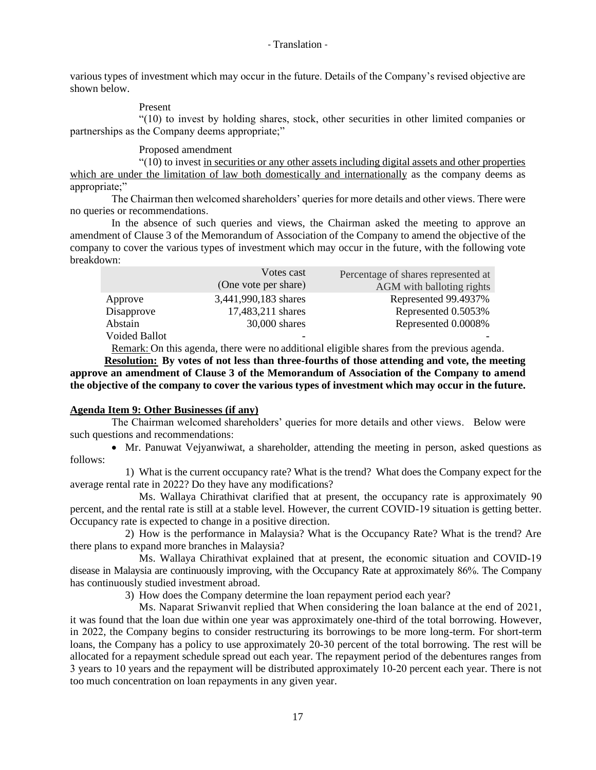various types of investment which may occur in the future. Details of the Company's revised objective are shown below.

Present

"(10) to invest by holding shares, stock, other securities in other limited companies or partnerships as the Company deems appropriate;"

Proposed amendment

"(10) to invest in securities or any other assets including digital assets and other properties which are under the limitation of law both domestically and internationally as the company deems as appropriate;"

The Chairman then welcomed shareholders' queries for more details and other views. There were no queries or recommendations.

In the absence of such queries and views, the Chairman asked the meeting to approve an amendment of Clause 3 of the Memorandum of Association of the Company to amend the objective of the company to cover the various types of investment which may occur in the future, with the following vote breakdown:

|                      | Votes cast           | Percentage of shares represented at |  |
|----------------------|----------------------|-------------------------------------|--|
|                      | (One vote per share) | AGM with balloting rights           |  |
| Approve              | 3,441,990,183 shares | Represented 99.4937%                |  |
| Disapprove           | 17,483,211 shares    | Represented 0.5053%                 |  |
| Abstain              | 30,000 shares        | Represented 0.0008%                 |  |
| <b>Voided Ballot</b> |                      |                                     |  |

Remark: On this agenda, there were no additional eligible shares from the previous agenda.

**Resolution: By votes of not less than three-fourths of those attending and vote, the meeting approve an amendment of Clause 3 of the Memorandum of Association of the Company to amend the objective of the company to cover the various types of investment which may occur in the future.**

## **Agenda Item 9: Other Businesses (if any)**

The Chairman welcomed shareholders' queries for more details and other views. Below were such questions and recommendations:

• Mr. Panuwat Vejyanwiwat, a shareholder, attending the meeting in person, asked questions as follows:

1) What is the current occupancy rate? What is the trend? What does the Company expect for the average rental rate in 2022? Do they have any modifications?

Ms. Wallaya Chirathivat clarified that at present, the occupancy rate is approximately 90 percent, and the rental rate is still at a stable level. However, the current COVID-19 situation is getting better. Occupancy rate is expected to change in a positive direction.

2) How is the performance in Malaysia? What is the Occupancy Rate? What is the trend? Are there plans to expand more branches in Malaysia?

Ms. Wallaya Chirathivat explained that at present, the economic situation and COVID-19 disease in Malaysia are continuously improving, with the Occupancy Rate at approximately 86%. The Company has continuously studied investment abroad.

3) How does the Company determine the loan repayment period each year?

Ms. Naparat Sriwanvit replied that When considering the loan balance at the end of 2021, it was found that the loan due within one year was approximately one-third of the total borrowing. However, in 2022, the Company begins to consider restructuring its borrowings to be more long-term. For short-term loans, the Company has a policy to use approximately 20-30 percent of the total borrowing. The rest will be allocated for a repayment schedule spread out each year. The repayment period of the debentures ranges from 3 years to 10 years and the repayment will be distributed approximately 10-20 percent each year. There is not too much concentration on loan repayments in any given year.